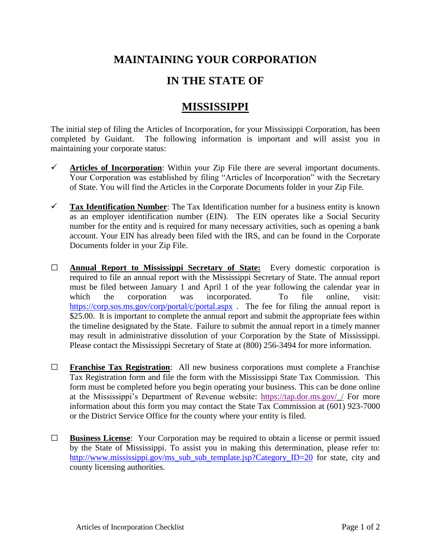## **MAINTAINING YOUR CORPORATION**

## **IN THE STATE OF**

## **MISSISSIPPI**

The initial step of filing the Articles of Incorporation, for your Mississippi Corporation, has been completed by Guidant. The following information is important and will assist you in maintaining your corporate status:

- ✓ **Articles of Incorporation**: Within your Zip File there are several important documents. Your Corporation was established by filing "Articles of Incorporation" with the Secretary of State. You will find the Articles in the Corporate Documents folder in your Zip File.
- $\checkmark$  **Tax Identification Number:** The Tax Identification number for a business entity is known as an employer identification number (EIN). The EIN operates like a Social Security number for the entity and is required for many necessary activities, such as opening a bank account. Your EIN has already been filed with the IRS, and can be found in the Corporate Documents folder in your Zip File.
- **□ Annual Report to Mississippi Secretary of State:** Every domestic corporation is required to file an annual report with the Mississippi Secretary of State. The annual report must be filed between January 1 and April 1 of the year following the calendar year in which the corporation was incorporated. To file online, visit: <https://corp.sos.ms.gov/corp/portal/c/portal.aspx> . The fee for filing the annual report is \$25.00. It is important to complete the annual report and submit the appropriate fees within the timeline designated by the State. Failure to submit the annual report in a timely manner may result in administrative dissolution of your Corporation by the State of Mississippi. Please contact the Mississippi Secretary of State at (800) 256-3494 for more information.
- **□ Franchise Tax Registration**: All new business corporations must complete a Franchise Tax Registration form and file the form with the Mississippi State Tax Commission. This form must be completed before you begin operating your business. This can be done online at the Mississippi's Department of Revenue website: [https://tap.dor.ms.gov/\\_/](https://tap.dor.ms.gov/_/) For more information about this form you may contact the State Tax Commission at (601) 923-7000 or the District Service Office for the county where your entity is filed.
- **□ Business License**: Your Corporation may be required to obtain a license or permit issued by the State of Mississippi. To assist you in making this determination, please refer to: [http://www.mississippi.gov/ms\\_sub\\_sub\\_template.jsp?Category\\_ID=20](http://www.mississippi.gov/ms_sub_sub_template.jsp?Category_ID=20) for state, city and county licensing authorities.